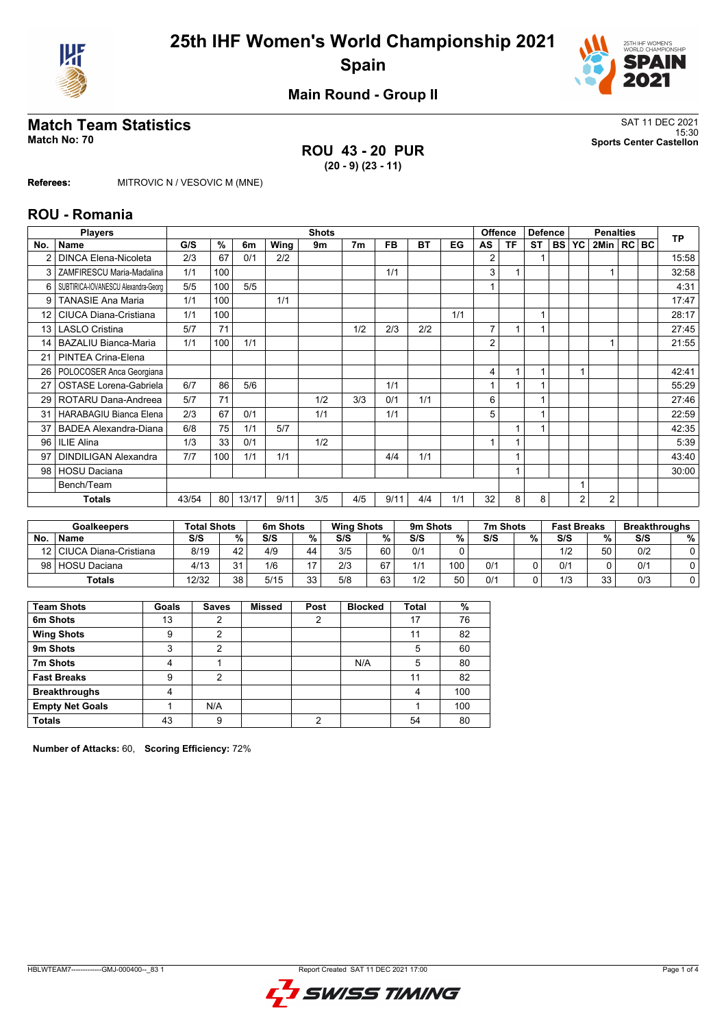



**Main Round - Group II**

## **Match Team Statistics** SAT 11 DEC 2021

**ROU 43 - 20 PUR (20 - 9) (23 - 11)**

15:30 **Match No: 70 Sports Center Castellon**

**Referees:** MITROVIC N / VESOVIC M (MNE)

#### **ROU - Romania**

| <b>Players</b><br><b>Shots</b> |                                     |       |     |       |      |     |                |           | <b>Offence</b> | <b>Defence</b> |                |    | <b>Penalties</b> |           | <b>TP</b> |                |  |       |
|--------------------------------|-------------------------------------|-------|-----|-------|------|-----|----------------|-----------|----------------|----------------|----------------|----|------------------|-----------|-----------|----------------|--|-------|
| No.                            | <b>Name</b>                         | G/S   | %   | 6m    | Wing | 9m  | 7 <sub>m</sub> | <b>FB</b> | <b>BT</b>      | EG             | AS             | ΤF | <b>ST</b>        | <b>BS</b> | <b>YC</b> | 2Min   RC   BC |  |       |
|                                | DINCA Elena-Nicoleta                | 2/3   | 67  | 0/1   | 2/2  |     |                |           |                |                | 2              |    |                  |           |           |                |  | 15:58 |
| 3                              | ZAMFIRESCU Maria-Madalina           | 1/1   | 100 |       |      |     |                | 1/1       |                |                | 3              |    |                  |           |           |                |  | 32:58 |
| 6                              | SUBTIRICA-IOVANESCU Alexandra-Georg | 5/5   | 100 | 5/5   |      |     |                |           |                |                |                |    |                  |           |           |                |  | 4:31  |
| 9                              | <b>TANASIE Ana Maria</b>            | 1/1   | 100 |       | 1/1  |     |                |           |                |                |                |    |                  |           |           |                |  | 17:47 |
| 12 <sup>2</sup>                | CIUCA Diana-Cristiana               | 1/1   | 100 |       |      |     |                |           |                | 1/1            |                |    | 1                |           |           |                |  | 28:17 |
| 13 <sup>1</sup>                | <b>LASLO Cristina</b>               | 5/7   | 71  |       |      |     | 1/2            | 2/3       | 2/2            |                | $\overline{7}$ | 1  |                  |           |           |                |  | 27:45 |
| 14                             | <b>BAZALIU Bianca-Maria</b>         | 1/1   | 100 | 1/1   |      |     |                |           |                |                | 2              |    |                  |           |           |                |  | 21:55 |
| 21                             | PINTEA Crina-Elena                  |       |     |       |      |     |                |           |                |                |                |    |                  |           |           |                |  |       |
| 26                             | POLOCOSER Anca Georgiana            |       |     |       |      |     |                |           |                |                | 4              |    | 1                |           |           |                |  | 42:41 |
| 27                             | <b>OSTASE Lorena-Gabriela</b>       | 6/7   | 86  | 5/6   |      |     |                | 1/1       |                |                |                |    |                  |           |           |                |  | 55:29 |
| 29                             | ROTARU Dana-Andreea                 | 5/7   | 71  |       |      | 1/2 | 3/3            | 0/1       | 1/1            |                | 6              |    |                  |           |           |                |  | 27:46 |
| 31                             | HARABAGIU Bianca Elena              | 2/3   | 67  | 0/1   |      | 1/1 |                | 1/1       |                |                | 5              |    |                  |           |           |                |  | 22:59 |
| 37                             | BADEA Alexandra-Diana               | 6/8   | 75  | 1/1   | 5/7  |     |                |           |                |                |                | 1  |                  |           |           |                |  | 42:35 |
| 96                             | <b>ILIE Alina</b>                   | 1/3   | 33  | 0/1   |      | 1/2 |                |           |                |                |                |    |                  |           |           |                |  | 5:39  |
| 97                             | <b>DINDILIGAN Alexandra</b>         | 7/7   | 100 | 1/1   | 1/1  |     |                | 4/4       | 1/1            |                |                |    |                  |           |           |                |  | 43:40 |
| 98                             | <b>HOSU Daciana</b>                 |       |     |       |      |     |                |           |                |                |                |    |                  |           |           |                |  | 30:00 |
|                                | Bench/Team                          |       |     |       |      |     |                |           |                |                |                |    |                  |           |           |                |  |       |
|                                | <b>Totals</b>                       | 43/54 | 80  | 13/17 | 9/11 | 3/5 | 4/5            | 9/11      | 4/4            | 1/1            | 32             | 8  | 8                |           | 2         | $\overline{2}$ |  |       |

| Goalkeepers |                          | <b>Total Shots</b> |      | 6m Shots |           | <b>Wing Shots</b> |    | 9m Shots |     | 7m Shots |   | <b>Fast Breaks</b> |    | <b>Breakthroughs</b> |   |
|-------------|--------------------------|--------------------|------|----------|-----------|-------------------|----|----------|-----|----------|---|--------------------|----|----------------------|---|
| <b>No</b>   | <b>Name</b>              | S/S                | $\%$ | S/S      | $\%$      | S/S               | %  | S/S      | %   | S/S      | % | S/S                | %  | S/S                  | % |
|             | 12 CIUCA Diana-Cristiana | 8/19               | 42   | 4/9      | 44        | 3/5               | 60 | 0/1      |     |          |   | 1/2                | 50 | 0/2                  |   |
|             | 98 HOSU Daciana          | 4/13               | 21   | 1/6      | 17        | 2/3               | 67 | 1/1      | 100 | 0/1      |   | 0/1                |    | 0/1                  |   |
|             | <b>Totals</b>            | 12/32              | 38   | 5/15     | 33<br>ں ر | 5/8               | 63 | 1/2      | 50  | 0/1      |   | 1/3                | 33 | 0/3                  |   |

| <b>Team Shots</b>      | Goals | <b>Saves</b> | <b>Missed</b> | Post | <b>Blocked</b> | Total | %   |
|------------------------|-------|--------------|---------------|------|----------------|-------|-----|
| 6m Shots               | 13    | 2            |               | 2    |                | 17    | 76  |
| <b>Wing Shots</b>      | 9     | 2            |               |      |                | 11    | 82  |
| 9m Shots               | 3     | 2            |               |      |                | 5     | 60  |
| 7m Shots               | 4     |              |               |      | N/A            | 5     | 80  |
| <b>Fast Breaks</b>     | 9     | 2            |               |      |                | 11    | 82  |
| <b>Breakthroughs</b>   | 4     |              |               |      |                | 4     | 100 |
| <b>Empty Net Goals</b> |       | N/A          |               |      |                |       | 100 |
| <b>Totals</b>          | 43    | 9            |               | റ    |                | 54    | 80  |

**Number of Attacks:** 60, **Scoring Efficiency:** 72%

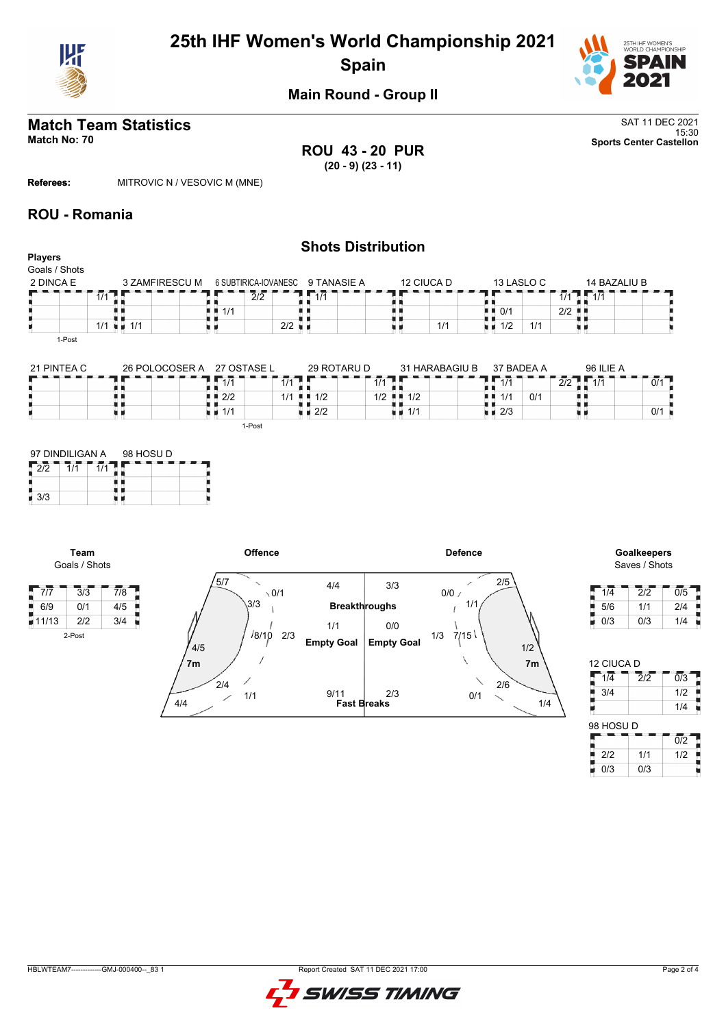

# **25th IHF Women's World Championship 2021 Spain**



**Main Round - Group II**

# **Match Team Statistics** SAT 11 DEC 2021

**ROU 43 - 20 PUR (20 - 9) (23 - 11)**

15:30 **Match No: 70 Sports Center Castellon**

**Referees:** MITROVIC N / VESOVIC M (MNE)

#### **ROU - Romania**

#### **Shots Distribution Players** Goals / Shots 2 DINCA E 12 CIUCA D 13 LASLO C 14 BAZALIU B 3 ZAMFIRESCU M 6 SUBTIRICA-IOVANESC 9 TANASIE A  $\frac{7}{1}$ T F E п  $|2/2$  $1/1$ 1 1/1 **1 1** 1/1 ∰<br>∷ n e  $1/1$  $\blacksquare$  0/1 | 2/2 1/1 1/1 **u** 1/1 u d  $\vert$  2/2  $1/2$  1/1 原则 1-Post

| 21 PINTEA C | 26 POLOCOSER A | 27 OSTASE L        | 29 ROTARU D                | 31 HARABAGIU B             | 37 BADEA A         |                 | 96 ILIE A |     |
|-------------|----------------|--------------------|----------------------------|----------------------------|--------------------|-----------------|-----------|-----|
|             |                | 414                | 1/1                        |                            |                    | $\Omega$<br>212 | 1/1       | 0/1 |
|             |                | $\blacksquare$ 2/2 | $1/1$ $\blacksquare$ $1/2$ | $1/2$ $\blacksquare$ $1/2$ | 1/1<br>. .         | 0/1             |           |     |
|             |                | $\sqrt{1/1}$       | $\blacksquare$ 2/2         | ∎∎ 1/1                     | $\blacksquare$ 2/3 |                 |           | 0/1 |
|             |                | 1-Post             |                            |                            |                    |                 |           |     |

| 97 DINDILIGAN A |  | 98 HOSU D |  |  |  |  |  |  |  |
|-----------------|--|-----------|--|--|--|--|--|--|--|
|                 |  |           |  |  |  |  |  |  |  |
|                 |  |           |  |  |  |  |  |  |  |
| 3/3             |  |           |  |  |  |  |  |  |  |

**Team**

2-Post



# Saves / Shots

| 1/4 | 2/2 | 0/5 |
|-----|-----|-----|
| 5/6 | 1/1 | 2/4 |
| 0/3 | 0/3 | 1/4 |

| 12 CIUCA D       |                             |                  |
|------------------|-----------------------------|------------------|
| $1/\overline{4}$ | $\overline{2}/\overline{2}$ | $\overline{0/3}$ |
| 3/4              |                             | 1/2              |
|                  |                             | 1/4              |
| 98 HOSU D        |                             |                  |
|                  |                             | $\overline{0/2}$ |
| 2/2              | 1/1                         | 1/2              |
| 0/3              | 0/3                         |                  |

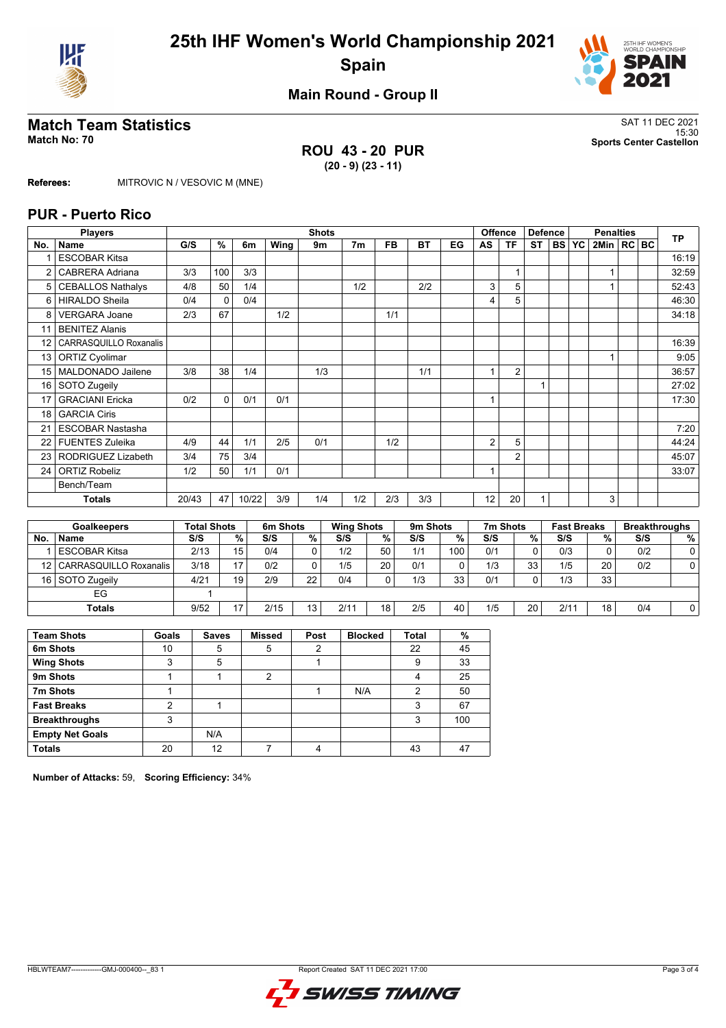



**Main Round - Group II**

### **Match Team Statistics** SAT 11 DEC 2021

**ROU 43 - 20 PUR (20 - 9) (23 - 11)**

15:30 **Match No: 70 Sports Center Castellon**

**Referees:** MITROVIC N / VESOVIC M (MNE)

#### **PUR - Puerto Rico**

|     | <b>Players</b>           |       | <b>Offence</b><br><b>Shots</b> |       |          |     |                   |     |           |    | <b>Defence</b><br><b>Penalties</b> |                |           | <b>TP</b> |                    |                |  |                      |
|-----|--------------------------|-------|--------------------------------|-------|----------|-----|-------------------|-----|-----------|----|------------------------------------|----------------|-----------|-----------|--------------------|----------------|--|----------------------|
| No. | <b>Name</b>              | G/S   | %                              | 6m    | Wing     | 9m  | 7 <sub>m</sub>    | FB  | <b>BT</b> | EG | AS                                 | <b>TF</b>      | <b>ST</b> | <b>BS</b> | <b>YC</b>          | 2Min   RC   BC |  |                      |
|     | <b>ESCOBAR Kitsa</b>     |       |                                |       |          |     |                   |     |           |    |                                    |                |           |           |                    |                |  | 16:19                |
| 2   | <b>CABRERA Adriana</b>   | 3/3   | 100                            | 3/3   |          |     |                   |     |           |    |                                    | $\mathbf{1}$   |           |           |                    | 1              |  | 32:59                |
| 5   | <b>CEBALLOS Nathalys</b> | 4/8   | 50                             | 1/4   |          |     | 1/2               |     | 2/2       |    | 3                                  | 5              |           |           |                    |                |  | 52:43                |
| 6   | <b>HIRALDO Sheila</b>    | 0/4   | 0                              | 0/4   |          |     |                   |     |           |    | 4                                  | 5              |           |           |                    |                |  | 46:30                |
| 8   | <b>VERGARA Joane</b>     | 2/3   | 67                             |       | 1/2      |     |                   | 1/1 |           |    |                                    |                |           |           |                    |                |  | 34:18                |
| 11  | <b>BENITEZ Alanis</b>    |       |                                |       |          |     |                   |     |           |    |                                    |                |           |           |                    |                |  |                      |
| 12  | CARRASQUILLO Roxanalis   |       |                                |       |          |     |                   |     |           |    |                                    |                |           |           |                    |                |  | 16:39                |
| 13  | <b>ORTIZ Cyolimar</b>    |       |                                |       |          |     |                   |     |           |    |                                    |                |           |           |                    | $\mathbf{1}$   |  | 9:05                 |
| 15  | MALDONADO Jailene        | 3/8   | 38                             | 1/4   |          | 1/3 |                   |     | 1/1       |    |                                    | $\overline{2}$ |           |           |                    |                |  | 36:57                |
| 16  | SOTO Zugeily             |       |                                |       |          |     |                   |     |           |    |                                    |                |           |           |                    |                |  | 27:02                |
| 17  | <b>GRACIANI Ericka</b>   | 0/2   | 0                              | 0/1   | 0/1      |     |                   |     |           |    |                                    |                |           |           |                    |                |  | 17:30                |
| 18  | <b>GARCIA Ciris</b>      |       |                                |       |          |     |                   |     |           |    |                                    |                |           |           |                    |                |  |                      |
|     | <b>ESCOBAR Nastasha</b>  |       |                                |       |          |     |                   |     |           |    |                                    |                |           |           |                    |                |  | 7:20                 |
| 22  | <b>FUENTES Zuleika</b>   | 4/9   | 44                             | 1/1   | 2/5      | 0/1 |                   | 1/2 |           |    | $\overline{2}$                     | 5              |           |           |                    |                |  | 44:24                |
| 23  | RODRIGUEZ Lizabeth       | 3/4   | 75                             | 3/4   |          |     |                   |     |           |    |                                    | 2              |           |           |                    |                |  | 45:07                |
| 24  | <b>ORTIZ Robeliz</b>     | 1/2   | 50                             | 1/1   | 0/1      |     |                   |     |           |    |                                    |                |           |           |                    |                |  | 33:07                |
|     | Bench/Team               |       |                                |       |          |     |                   |     |           |    |                                    |                |           |           |                    |                |  |                      |
|     | <b>Totals</b>            | 20/43 | 47                             | 10/22 | 3/9      | 1/4 | 1/2               | 2/3 | 3/3       |    | 12                                 | 20             | 1         |           |                    | 3              |  |                      |
|     |                          |       |                                |       |          |     |                   |     |           |    |                                    |                |           |           |                    |                |  |                      |
|     | <b>Goalkeepers</b>       |       | <b>Total Shots</b>             |       | 6m Shots |     | <b>Wing Shots</b> |     | 9m Shots  |    |                                    | 7m Shots       |           |           | <b>Fast Breaks</b> |                |  | <b>Breakthroughs</b> |

|     | GUAIREEDEIS            | ι υιαι σποισ |    | oni ənus |       | <b>THE PHILE</b> |    | ยแ อแบเร |     | 7111 ƏHVIS |    | rası pieans |    | <b>DIGANITIOUS</b> |                |
|-----|------------------------|--------------|----|----------|-------|------------------|----|----------|-----|------------|----|-------------|----|--------------------|----------------|
| No. | <b>Name</b>            | S/S          | %  | S/S      | $%$ 1 | S/S              | %  | S/S      | %   | S/S        | %  | S/S         | %  | S/S                | %              |
|     | <b>ESCOBAR Kitsa</b>   | 2/13         | 15 | 0/4      |       | 1/2              | 50 | 1/1      | 100 | 0/1        |    | 0/3         |    | 0/2                | $\overline{0}$ |
| 12  | CARRASQUILLO Roxanalis | 3/18         | 17 | 0/2      |       | 1/5              | 20 | 0/1      |     | 1/3        | 33 | 1/5         | 20 | 0/2                | $\overline{0}$ |
|     | 16 SOTO Zugeily        | 4/21         | 19 | 2/9      | 22    | 0/4              | n. | 1/3      | 33  | 0/1        | 0  | 1/3         | 33 |                    |                |
|     | EG                     |              |    |          |       |                  |    |          |     |            |    |             |    |                    |                |
|     | Totals                 | 9/52         | 17 | 2/15     | 13    | 2/11             | 18 | 2/5      | 40  | 1/5        | 20 | 2/11        | 18 | 0/4                | 01             |

| <b>Team Shots</b>      | Goals | <b>Saves</b> | <b>Missed</b> | Post | <b>Blocked</b> | <b>Total</b> | %   |
|------------------------|-------|--------------|---------------|------|----------------|--------------|-----|
| 6m Shots               | 10    | 5            | 5             | 2    |                | 22           | 45  |
| <b>Wing Shots</b>      | 3     | 5            |               |      |                | 9            | 33  |
| 9m Shots               |       |              | 2             |      |                | 4            | 25  |
| 7m Shots               |       |              |               |      | N/A            | っ            | 50  |
| <b>Fast Breaks</b>     | 2     |              |               |      |                | 3            | 67  |
| <b>Breakthroughs</b>   | 3     |              |               |      |                | 3            | 100 |
| <b>Empty Net Goals</b> |       | N/A          |               |      |                |              |     |
| <b>Totals</b>          | 20    | 12           |               | 4    |                | 43           | 47  |

**Number of Attacks:** 59, **Scoring Efficiency:** 34%